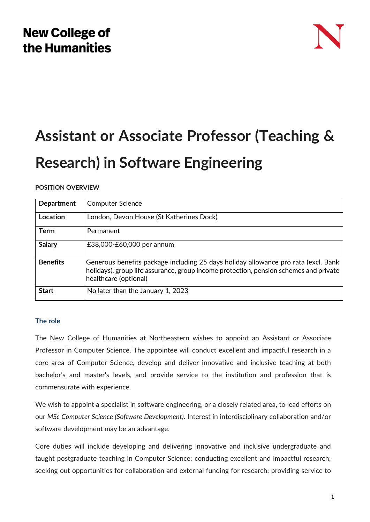# **New College of** the Humanities



# **Assistant or Associate Professor (Teaching & Research) in Software Engineering**

## **POSITION OVERVIEW**

| <b>Department</b> | <b>Computer Science</b>                                                                                                                                                                              |
|-------------------|------------------------------------------------------------------------------------------------------------------------------------------------------------------------------------------------------|
| Location          | London, Devon House (St Katherines Dock)                                                                                                                                                             |
| <b>Term</b>       | Permanent                                                                                                                                                                                            |
| <b>Salary</b>     | £38,000-£60,000 per annum                                                                                                                                                                            |
| <b>Benefits</b>   | Generous benefits package including 25 days holiday allowance pro rata (excl. Bank<br>holidays), group life assurance, group income protection, pension schemes and private<br>healthcare (optional) |
| <b>Start</b>      | No later than the January 1, 2023                                                                                                                                                                    |

### **The role**

The New College of Humanities at Northeastern wishes to appoint an Assistant *or* Associate Professor in Computer Science. The appointee will conduct excellent and impactful research in a core area of Computer Science, develop and deliver innovative and inclusive teaching at both bachelor's and master's levels, and provide service to the institution and profession that is commensurate with experience.

We wish to appoint a specialist in software engineering, or a closely related area, to lead efforts on our *MSc Computer Science (Software Development)*. Interest in interdisciplinary collaboration and/or software development may be an advantage.

Core duties will include developing and delivering innovative and inclusive undergraduate and taught postgraduate teaching in Computer Science; conducting excellent and impactful research; seeking out opportunities for collaboration and external funding for research; providing service to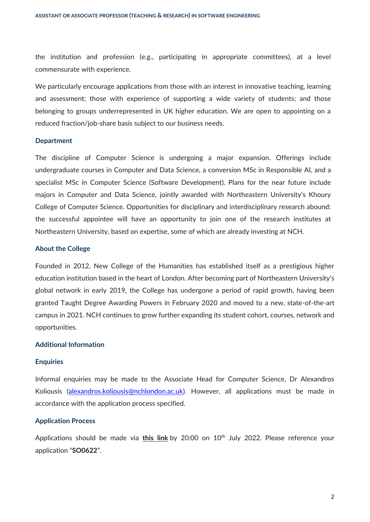the institution and profession (e.g., participating in appropriate committees), at a level commensurate with experience.

We particularly encourage applications from those with an interest in innovative teaching, learning and assessment; those with experience of supporting a wide variety of students; and those belonging to groups underrepresented in UK higher education. We are open to appointing on a reduced fraction/job-share basis subject to our business needs.

#### **Department**

The discipline of Computer Science is undergoing a major expansion. Offerings include undergraduate courses in Computer and Data Science, a conversion MSc in Responsible AI, and a specialist MSc in Computer Science (Software Development). Plans for the near future include majors in Computer and Data Science, jointly awarded with Northeastern University's Khoury College of Computer Science. Opportunities for disciplinary and interdisciplinary research abound: the successful appointee will have an opportunity to join one of the research institutes at Northeastern University, based on expertise, some of which are already investing at NCH.

#### **About the College**

Founded in 2012, New College of the Humanities has established itself as a prestigious higher education institution based in the heart of London. After becoming part of Northeastern University's global network in early 2019, the College has undergone a period of rapid growth, having been granted Taught Degree Awarding Powers in February 2020 and moved to a new, state-of-the-art campus in 2021. NCH continues to grow further expanding its student cohort, courses, network and opportunities.

#### **Additional Information**

#### **Enquiries**

Informal enquiries may be made to the Associate Head for Computer Science, Dr Alexandros Koliousis [\(alexandros.koliousis@nchlondon.ac.uk\)](mailto:alexandros.koliousis@nchlondon.ac.uk). However, all applications must be made in accordance with the application process specified.

#### **Application Process**

Applications should be made via [this link](https://share.hsforms.com/1p3G6XPo_QD-X7V9aRnSTYQ2peji) by 20:00 on 10<sup>th</sup> July 2022. Please reference your application "**SO0622**".